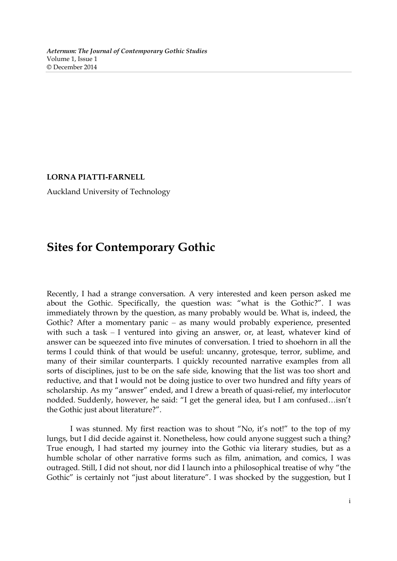**LORNA PIATTI-FARNELL** 

Auckland University of Technology

## **Sites for Contemporary Gothic**

Recently, I had a strange conversation. A very interested and keen person asked me about the Gothic. Specifically, the question was: "what is the Gothic?". I was immediately thrown by the question, as many probably would be. What is, indeed, the Gothic? After a momentary panic – as many would probably experience, presented with such a task  $-$  I ventured into giving an answer, or, at least, whatever kind of answer can be squeezed into five minutes of conversation. I tried to shoehorn in all the terms I could think of that would be useful: uncanny, grotesque, terror, sublime, and many of their similar counterparts. I quickly recounted narrative examples from all sorts of disciplines, just to be on the safe side, knowing that the list was too short and reductive, and that I would not be doing justice to over two hundred and fifty years of scholarship. As my "answer" ended, and I drew a breath of quasi-relief, my interlocutor nodded. Suddenly, however, he said: "I get the general idea, but I am confused…isn't the Gothic just about literature?".

I was stunned. My first reaction was to shout "No, it's not!" to the top of my lungs, but I did decide against it. Nonetheless, how could anyone suggest such a thing? True enough, I had started my journey into the Gothic via literary studies, but as a humble scholar of other narrative forms such as film, animation, and comics, I was outraged. Still, I did not shout, nor did I launch into a philosophical treatise of why "the Gothic" is certainly not "just about literature". I was shocked by the suggestion, but I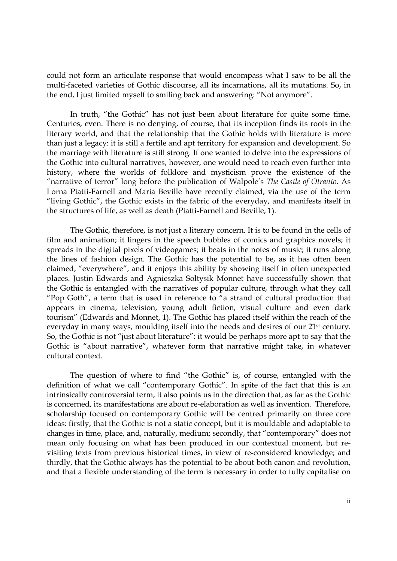could not form an articulate response that would encompass what I saw to be all the multi-faceted varieties of Gothic discourse, all its incarnations, all its mutations. So, in the end, I just limited myself to smiling back and answering: "Not anymore".

In truth, "the Gothic" has not just been about literature for quite some time. Centuries, even. There is no denying, of course, that its inception finds its roots in the literary world, and that the relationship that the Gothic holds with literature is more than just a legacy: it is still a fertile and apt territory for expansion and development. So the marriage with literature is still strong. If one wanted to delve into the expressions of the Gothic into cultural narratives, however, one would need to reach even further into history, where the worlds of folklore and mysticism prove the existence of the "narrative of terror" long before the publication of Walpole's *The Castle of Otranto*. As Lorna Piatti-Farnell and Maria Beville have recently claimed, via the use of the term "living Gothic", the Gothic exists in the fabric of the everyday, and manifests itself in the structures of life, as well as death (Piatti-Farnell and Beville, 1).

The Gothic, therefore, is not just a literary concern. It is to be found in the cells of film and animation; it lingers in the speech bubbles of comics and graphics novels; it spreads in the digital pixels of videogames; it beats in the notes of music; it runs along the lines of fashion design. The Gothic has the potential to be, as it has often been claimed, "everywhere", and it enjoys this ability by showing itself in often unexpected places. Justin Edwards and Agnieszka Soltysik Monnet have successfully shown that the Gothic is entangled with the narratives of popular culture, through what they call "Pop Goth", a term that is used in reference to  $\tilde{a}$  a strand of cultural production that appears in cinema, television, young adult fiction, visual culture and even dark tourism" (Edwards and Monnet, 1). The Gothic has placed itself within the reach of the everyday in many ways, moulding itself into the needs and desires of our 21st century. So, the Gothic is not "just about literature": it would be perhaps more apt to say that the Gothic is "about narrative", whatever form that narrative might take, in whatever cultural context.

 The question of where to find "the Gothic" is, of course, entangled with the definition of what we call "contemporary Gothic". In spite of the fact that this is an intrinsically controversial term, it also points us in the direction that, as far as the Gothic is concerned, its manifestations are about re-elaboration as well as invention. Therefore, scholarship focused on contemporary Gothic will be centred primarily on three core ideas: firstly, that the Gothic is not a static concept, but it is mouldable and adaptable to changes in time, place, and, naturally, medium; secondly, that "contemporary" does not mean only focusing on what has been produced in our contextual moment, but revisiting texts from previous historical times, in view of re-considered knowledge; and thirdly, that the Gothic always has the potential to be about both canon and revolution, and that a flexible understanding of the term is necessary in order to fully capitalise on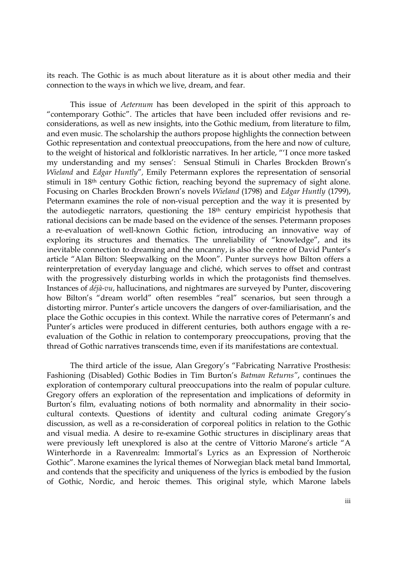its reach. The Gothic is as much about literature as it is about other media and their connection to the ways in which we live, dream, and fear.

This issue of *Aeternum* has been developed in the spirit of this approach to "contemporary Gothic". The articles that have been included offer revisions and reconsiderations, as well as new insights, into the Gothic medium, from literature to film, and even music. The scholarship the authors propose highlights the connection between Gothic representation and contextual preoccupations, from the here and now of culture, to the weight of historical and folkloristic narratives. In her article, "'I once more tasked my understanding and my senses': Sensual Stimuli in Charles Brockden Brown's *Wieland* and *Edgar Huntly*"*,* Emily Petermann explores the representation of sensorial stimuli in 18th century Gothic fiction, reaching beyond the supremacy of sight alone. Focusing on Charles Brockden Brown's novels *Wieland* (1798) and *Edgar Huntly* (1799), Petermann examines the role of non-visual perception and the way it is presented by the autodiegetic narrators, questioning the 18th century empiricist hypothesis that rational decisions can be made based on the evidence of the senses. Petermann proposes a re-evaluation of well-known Gothic fiction, introducing an innovative way of exploring its structures and thematics. The unreliability of "knowledge", and its inevitable connection to dreaming and the uncanny, is also the centre of David Punter's article "Alan Bilton: Sleepwalking on the Moon". Punter surveys how Bilton offers a reinterpretation of everyday language and cliché, which serves to offset and contrast with the progressively disturbing worlds in which the protagonists find themselves. Instances of *déjà-vu*, hallucinations, and nightmares are surveyed by Punter, discovering how Bilton's "dream world" often resembles "real" scenarios, but seen through a distorting mirror. Punter's article uncovers the dangers of over-familiarisation, and the place the Gothic occupies in this context. While the narrative cores of Petermann's and Punter's articles were produced in different centuries, both authors engage with a reevaluation of the Gothic in relation to contemporary preoccupations, proving that the thread of Gothic narratives transcends time, even if its manifestations are contextual.

The third article of the issue, Alan Gregory's "Fabricating Narrative Prosthesis: Fashioning (Disabled) Gothic Bodies in Tim Burton's *Batman Returns"*, continues the exploration of contemporary cultural preoccupations into the realm of popular culture. Gregory offers an exploration of the representation and implications of deformity in Burton's film, evaluating notions of both normality and abnormality in their sociocultural contexts. Questions of identity and cultural coding animate Gregory's discussion, as well as a re-consideration of corporeal politics in relation to the Gothic and visual media. A desire to re-examine Gothic structures in disciplinary areas that were previously left unexplored is also at the centre of Vittorio Marone's article "A Winterhorde in a Ravenrealm: Immortal's Lyrics as an Expression of Northeroic Gothic". Marone examines the lyrical themes of Norwegian black metal band Immortal, and contends that the specificity and uniqueness of the lyrics is embodied by the fusion of Gothic, Nordic, and heroic themes. This original style, which Marone labels